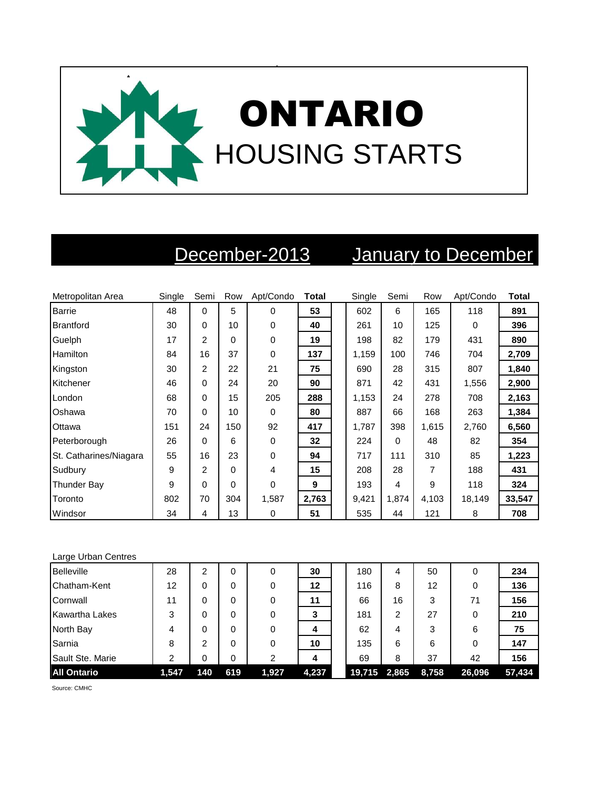

## December-2013 January to December

| Metropolitan Area      | Single | Semi          | Row | Apt/Condo   | <b>Total</b> | Single | Semi     | Row   | Apt/Condo | <b>Total</b> |
|------------------------|--------|---------------|-----|-------------|--------------|--------|----------|-------|-----------|--------------|
| <b>Barrie</b>          | 48     | 0             | 5   | 0           | 53           | 602    | 6        | 165   | 118       | 891          |
| <b>Brantford</b>       | 30     | 0             | 10  | 0           | 40           | 261    | 10       | 125   | $\Omega$  | 396          |
| Guelph                 | 17     | $\mathcal{P}$ | 0   | 0           | 19           | 198    | 82       | 179   | 431       | 890          |
| Hamilton               | 84     | 16            | 37  | 0           | 137          | 1,159  | 100      | 746   | 704       | 2,709        |
| Kingston               | 30     | 2             | 22  | 21          | 75           | 690    | 28       | 315   | 807       | 1,840        |
| Kitchener              | 46     | 0             | 24  | 20          | 90           | 871    | 42       | 431   | 1,556     | 2,900        |
| London                 | 68     | 0             | 15  | 205         | 288          | 1,153  | 24       | 278   | 708       | 2,163        |
| Oshawa                 | 70     | 0             | 10  | 0           | 80           | 887    | 66       | 168   | 263       | 1,384        |
| Ottawa                 | 151    | 24            | 150 | 92          | 417          | 1,787  | 398      | 1,615 | 2,760     | 6,560        |
| Peterborough           | 26     | 0             | 6   | $\mathbf 0$ | 32           | 224    | $\Omega$ | 48    | 82        | 354          |
| St. Catharines/Niagara | 55     | 16            | 23  | 0           | 94           | 717    | 111      | 310   | 85        | 1,223        |
| Sudbury                | 9      | 2             | 0   | 4           | 15           | 208    | 28       | 7     | 188       | 431          |
| <b>Thunder Bay</b>     | 9      | 0             | 0   | 0           | 9            | 193    | 4        | 9     | 118       | 324          |
| Toronto                | 802    | 70            | 304 | 1,587       | 2,763        | 9,421  | 1,874    | 4,103 | 18,149    | 33,547       |
| Windsor                | 34     | 4             | 13  | 0           | 51           | 535    | 44       | 121   | 8         | 708          |

| Large Urban Centres |       |                |     |       |       |        |       |       |        |        |
|---------------------|-------|----------------|-----|-------|-------|--------|-------|-------|--------|--------|
| <b>Belleville</b>   | 28    | 2              | 0   | 0     | 30    | 180    | 4     | 50    | 0      | 234    |
| Chatham-Kent        | 12    | 0              | 0   | 0     | 12    | 116    | 8     | 12    | 0      | 136    |
| Cornwall            | 11    | 0              | 0   | 0     | 11    | 66     | 16    | 3     | 71     | 156    |
| Kawartha Lakes      | 3     | 0              | 0   | 0     | 3     | 181    | 2     | 27    | 0      | 210    |
| North Bay           | 4     | 0              | 0   | 0     | 4     | 62     | 4     | 3     | 6      | 75     |
| Sarnia              | 8     | $\overline{2}$ | 0   | 0     | 10    | 135    | 6     | 6     | 0      | 147    |
| Sault Ste. Marie    | 2     | 0              | 0   | 2     | 4     | 69     | 8     | 37    | 42     | 156    |
| <b>All Ontario</b>  | 1,547 | 140            | 619 | 1,927 | 4,237 | 19,715 | 2,865 | 8,758 | 26,096 | 57,434 |

Source: CMHC